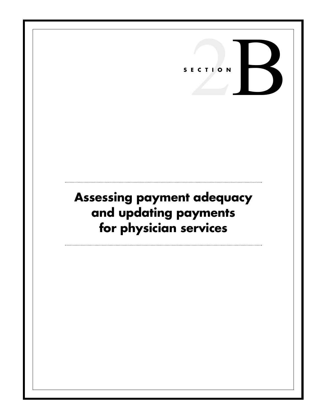# ECTION R **SECTION**

## **Assessing payment adequacy and updating payments for physician services**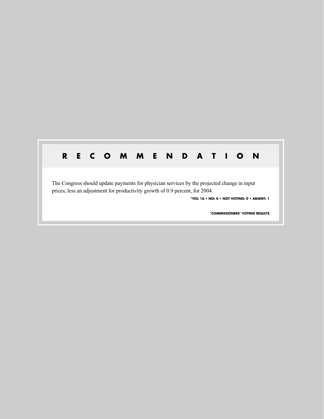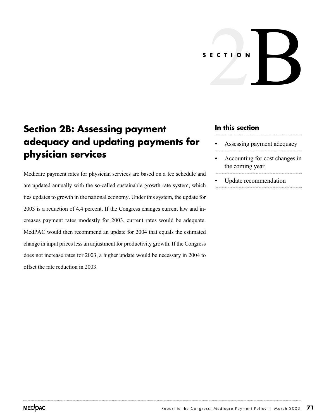# ECTION **SECTION**

### **Section 2B: Assessing payment adequacy and updating payments for physician services**

Medicare payment rates for physician services are based on a fee schedule and are updated annually with the so-called sustainable growth rate system, which ties updates to growth in the national economy. Under this system, the update for 2003 is a reduction of 4.4 percent. If the Congress changes current law and increases payment rates modestly for 2003, current rates would be adequate. MedPAC would then recommend an update for 2004 that equals the estimated change in input prices less an adjustment for productivity growth. If the Congress does not increase rates for 2003, a higher update would be necessary in 2004 to offset the rate reduction in 2003.

#### **In this section**

- Assessing payment adequacy
- Accounting for cost changes in the coming year
- Update recommendation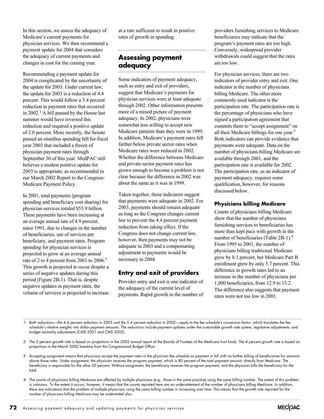In this section, we assess the adequacy of Medicare's current payments for physician services. We then recommend a payment update for 2004 that considers the adequacy of current payments and changes in cost for the coming year.

Recommending a payment update for 2004 is complicated by the uncertainty of the update for 2003. Under current law, the update for 2003 is a reduction of 4.4 percent. This would follow a 5.4 percent reduction in payment rates that occurred in  $2002<sup>1</sup>$  A bill passed by the House last summer would have reversed this reduction and required a positive update of 2.0 percent. More recently, the Senate passed an omnibus spending bill for fiscal year 2003 that included a freeze of physician payment rates through September 30 of this year. MedPAC still believes a modest positive update for 2003 is appropriate, as recommended in our March 2002 Report to the Congress: Medicare Payment Policy.

In 2001, total payments (program spending and beneficiary cost sharing) for physician services totaled \$55.9 billion. These payments have been increasing at an average annual rate of 4.9 percent, since 1991, due to changes in the number of beneficiaries, use of services per beneficiary, and payment rates. Program spending for physician services is projected to grow at an average annual rate of 2 to 4 percent from 2001 to  $2006$ <sup>2</sup> This growth is projected to occur despite a series of negative updates during this period (Figure 2B-1). That is, despite negative updates in payment rates, the volume of services is projected to increase

at a rate sufficient to result in positive rates of growth in spending.

#### **Assessing payment adequacy**

Some indicators of payment adequacy, such as entry and exit of providers, suggest that Medicare's payments for physician services were at least adequate through 2002. Other information presents more of a mixed picture of payment adequacy. In 2002, physicians were somewhat less willing to accept new Medicare patients than they were in 1999. In addition, Medicare's payment rates fell farther below private sector rates when Medicare rates were reduced in 2002. Whether the difference between Medicare and private sector payment rates has grown enough to become a problem is not clear because the difference in 2002 was about the same as it was in 1999.

Taken together, these indicators suggest that payments were adequate in 2002. For 2003, payments should remain adequate as long as the Congress changes current law to prevent the 4.4 percent payment reduction from taking effect. If the Congress does not change current law, however, then payments may not be adequate in 2003 and a compensating adjustment in payments would be necessary in 2004.

#### **Entry and exit of providers**

Provider entry and exit is one indicator of the adequacy of the current level of payments. Rapid growth in the number of providers furnishing services to Medicare beneficiaries may indicate that the program's payment rates are too high. Conversely, widespread provider withdrawals could suggest that the rates are too low.

For physician services, there are two indicators of provider entry and exit. One indicator is the number of physicians billing Medicare. The other more commonly used indicator is the participation rate. The participation rate is the percentage of physicians who have signed a participation agreement that commits them to "accept assignment" on all their Medicare billings for one year.<sup>3</sup> Both indicators can provide evidence that payments were adequate. Data on the number of physicians billing Medicare are available through 2001, and the participation rate is available for 2002. The participation rate, as an indicator of payment adequacy, requires some qualification, however, for reasons discussed below.

#### **Physicians billing Medicare**

Counts of physicians billing Medicare show that the number of physicians furnishing services to beneficiaries has more than kept pace with growth in the number of beneficiaries (Table 2B-1).<sup>4</sup> From 1995 to 2001, the number of physicians billing traditional Medicare grew by 8.1 percent, but Medicare Part B enrollment grew by only 5.7 percent. This difference in growth rates led to an increase in the number of physicians per 1,000 beneficiaries, from 12.9 to 13.2. The difference also suggests that payment rates were not too low in 2001.

1 Both reductions—the 4.4 percent reduction in 2003 and the 5.4 percent reduction in 2002—apply to the fee schedule's conversion factor, which translates the fee schedule's relative weights into dollar payment amounts. The reductions include payment updates under the sustainable growth rate system, legislative adjustments, and budget neutrality adjustments (CMS 2001 and CMS 2002).

2 The 2 percent growth rate is based on projections in the 2002 annual report of the Boards of Trustees of the Medicare trust funds. The 4 percent growth rate is based on projections in the March 2002 baseline from the Congressional Budget Office.

3 Accepting assignment means that physicians accept the payment rates in the physician fee schedule as payment in full with no further billing of beneficiaries for amounts above those rates. Under assignment, the physician receives the program payment, which is 80 percent of the total payment amount, directly from Medicare. The beneficiary is responsible for the other 20 percent. Without assignment, the beneficiary receives the program payment, and the physician bills the beneficiary for the total.

4 The counts of physicians billing Medicare are affected by multiple physicians (e.g., those in the same practice) using the same billing number. The extent of this problem is unknown. To the extent it occurs, however, it means that the counts reported here are an understatement of the number of physicians billing Medicare. In addition, there are indications that the problem of multiple physicians using the same billing number is increasing over time. This means that the growth rate reported for the number of physicians billing Medicare may be understated also.

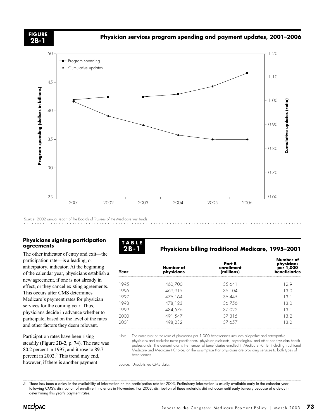**2B-1**

**Physician services program spending and payment updates, 2001–2006 FIGURE**



#### **Physicians signing participation agreements**

The other indicator of entry and exit—the participation rate—is a leading, or anticipatory, indicator. At the beginning of the calendar year, physicians establish a new agreement, if one is not already in effect, or they cancel existing agreements. This occurs after CMS determines Medicare's payment rates for physician services for the coming year. Thus, physicians decide in advance whether to participate, based on the level of the rates and other factors they deem relevant.

Participation rates have been rising steadily (Figure 2B-2, p. 74). The rate was 80.2 percent in 1997, and it rose to 89.7 percent in  $2002<sup>5</sup>$ . This trend may end, however, if there is another payment



#### **Physicians billing traditional Medicare, 1995–2001**

| Year | Number of<br>physicians | Part B<br>enrollment<br>(millions) | Number of<br>physicians<br>per 1,000<br>beneficiaries |  |
|------|-------------------------|------------------------------------|-------------------------------------------------------|--|
| 1995 | 460,700                 | 35.641                             | 12.9                                                  |  |
| 1996 | 469,915                 | 36.104                             | 13.0                                                  |  |
| 1997 | 476,164                 | 36.445                             | 13.1                                                  |  |
| 1998 | 478,123                 | 36.756                             | 13.0                                                  |  |
| 1999 | 484,576                 | 37.022                             | 131                                                   |  |
| 2000 | 491,547                 | 37.315                             | 13.2                                                  |  |
| 2001 | 498,232                 | 37.657                             | 13.2                                                  |  |

Note: The numerator of the ratio of physicians per 1,000 beneficiaries includes allopathic and osteopathic physicians and excludes nurse practitioners, physician assistants, psychologists, and other nonphysician health professionals. The denominator is the number of beneficiaries enrolled in Medicare Part B, including traditional Medicare and Medicare-Choice, on the assumption that physicians are providing services to both types of beneficiaries.

Source: Unpublished CMS data.

5 There has been a delay in the availability of information on the participation rate for 2003. Preliminary information is usually available early in the calendar year, following CMS's distribution of enrollment materials in November. For 2003, distribution of these materials did not occur until early January because of a delay in determining this year's payment rates.

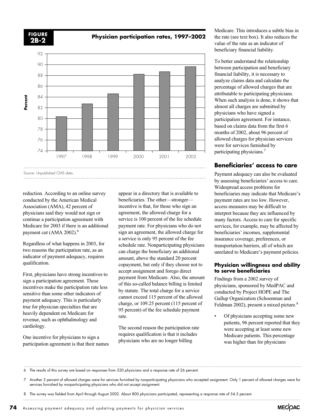

**Physician participation rates, 1997–2002 FIGURE**



reduction. According to an online survey conducted by the American Medical Association (AMA), 42 percent of physicians said they would not sign or continue a participation agreement with Medicare for 2003 if there is an additional payment cut (AMA 2002).<sup>6</sup>

Regardless of what happens in 2003, for two reasons the participation rate, as an indicator of payment adequacy, requires qualification.

First, physicians have strong incentives to sign a participation agreement. These incentives make the participation rate less sensitive than some other indicators of payment adequacy. This is particularly true for physician specialties that are heavily dependent on Medicare for revenue, such as ophthalmology and cardiology.

One incentive for physicians to sign a participation agreement is that their names appear in a directory that is available to beneficiaries. The other—stronger incentive is that, for those who sign an agreement, the allowed charge for a service is 100 percent of the fee schedule payment rate. For physicians who do not sign an agreement, the allowed charge for a service is only 95 percent of the fee schedule rate. Nonparticipating physicians can charge the beneficiary an additional amount, above the standard 20 percent copayment, but only if they choose not to accept assignment and forego direct payment from Medicare. Also, the amount of this so-called balance billing is limited by statute. The total charge for a service cannot exceed 115 percent of the allowed charge, or 109.25 percent (115 percent of 95 percent) of the fee schedule payment rate.

The second reason the participation rate requires qualification is that it includes physicians who are no longer billing

Medicare. This introduces a subtle bias in the rate (see text box). It also reduces the value of the rate as an indicator of beneficiary financial liability.

To better understand the relationship between participation and beneficiary financial liability, it is necessary to analyze claims data and calculate the percentage of allowed charges that are attributable to participating physicians. When such analysis is done, it shows that almost all charges are submitted by physicians who have signed a participation agreement. For instance, based on claims data from the first 6 months of 2002, about 96 percent of allowed charges for physician services were for services furnished by participating physicians.7

#### **Beneficiaries' access to care**

Payment adequacy can also be evaluated by assessing beneficiaries' access to care. Widespread access problems for beneficiaries may indicate that Medicare's payment rates are too low. However, access measures may be difficult to interpret because they are influenced by many factors. Access to care for specific services, for example, may be affected by beneficiaries' incomes, supplemental insurance coverage, preferences, or transportation barriers, all of which are unrelated to Medicare's payment policies.

#### **Physician willingness and ability to serve beneficiaries**

Findings from a 2002 survey of physicians, sponsored by MedPAC and conducted by Project HOPE and The Gallup Organization (Schoenman and Feldman 2002), present a mixed picture.<sup>8</sup>

• Of physicians accepting some new patients, 96 percent reported that they were accepting at least some new Medicare patients. This percentage was higher than for physicians

6 The results of this survey are based on responses from 520 physicians and a response rate of 26 percent.

7 Another 3 percent of allowed charges were for services furnished by nonparticipating physicians who accepted assignment. Only 1 percent of allowed charges were for services furnished by nonparticipating physicians who did not accept assignment.

8 The survey was fielded from April through August 2002. About 800 physicians participated, representing a response rate of 54.5 percent.

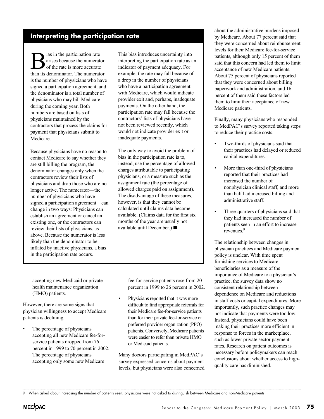#### **Interpreting the participation rate**

**B** arises because the numerat<br>of the rate is more accurate<br>than its denominator. The numerat arises because the numerator of the rate is more accurate than its denominator. The numerator is the number of physicians who have signed a participation agreement, and the denominator is a total number of physicians who may bill Medicare during the coming year. Both numbers are based on lists of physicians maintained by the contractors that process the claims for payment that physicians submit to Medicare.

Because physicians have no reason to contact Medicare to say whether they are still billing the program, the denominator changes only when the contractors review their lists of physicians and drop those who are no longer active. The numerator—the number of physicians who have signed a participation agreement—can change in two ways: Physicians can establish an agreement or cancel an existing one, or the contractors can review their lists of physicians, as above. Because the numerator is less likely than the denominator to be inflated by inactive physicians, a bias in the participation rate occurs.

This bias introduces uncertainty into interpreting the participation rate as an indicator of payment adequacy. For example, the rate may fall because of a drop in the number of physicians who have a participation agreement with Medicare, which would indicate provider exit and, perhaps, inadequate payments. On the other hand, the participation rate may fall because the contractors' lists of physicians have not been reviewed recently, which would not indicate provider exit or inadequate payments.

The only way to avoid the problem of bias in the participation rate is to, instead, use the percentage of allowed charges attributable to participating physicians, or a measure such as the assignment rate (the percentage of allowed charges paid on assignment). The disadvantage of these measures, however, is that they cannot be calculated until claims data become available. (Claims data for the first six months of the year are usually not available until December.) ■

accepting new Medicaid or private health maintenance organization (HMO) patients.

However, there are some signs that physician willingness to accept Medicare patients is declining.

The percentage of physicians accepting all new Medicare fee-forservice patients dropped from 76 percent in 1999 to 70 percent in 2002. The percentage of physicians accepting only some new Medicare

fee-for-service patients rose from 20 percent in 1999 to 26 percent in 2002.

• Physicians reported that it was more difficult to find appropriate referrals for their Medicare fee-for-service patients than for their private fee-for-service or preferred provider organization (PPO) patients. Conversely, Medicare patients were easier to refer than private HMO or Medicaid patients.

Many doctors participating in MedPAC's survey expressed concerns about payment levels, but physicians were also concerned

about the administrative burdens imposed by Medicare. About 77 percent said that they were concerned about reimbursement levels for their Medicare fee-for-service patients, although only 15 percent of them said that this concern had led them to limit acceptance of new Medicare patients. About 75 percent of physicians reported that they were concerned about billing paperwork and administration, and 16 percent of them said these factors led them to limit their acceptance of new Medicare patients.

Finally, many physicians who responded to MedPAC's survey reported taking steps to reduce their practice costs.

- Two-thirds of physicians said that their practices had delayed or reduced capital expenditures.
- More than one-third of physicians reported that their practices had increased the number of nonphysician clinical staff, and more than half had increased billing and administrative staff.
- Three-quarters of physicians said that they had increased the number of patients seen in an effort to increase revenues.<sup>9</sup>

The relationship between changes in physician practices and Medicare payment policy is unclear. With time spent furnishing services to Medicare beneficiaries as a measure of the importance of Medicare to a physician's practice, the survey data show no consistent relationship between dependence on Medicare and reductions in staff costs or capital expenditures. More importantly, such practice changes may not indicate that payments were too low. Instead, physicians could have been making their practices more efficient in response to forces in the marketplace, such as lower private sector payment rates. Research on patient outcomes is necessary before policymakers can reach conclusions about whether access to highquality care has diminished.

<sup>9</sup> When asked about increasing the number of patients seen, physicians were not asked to distinguish between Medicare and non-Medicare patients.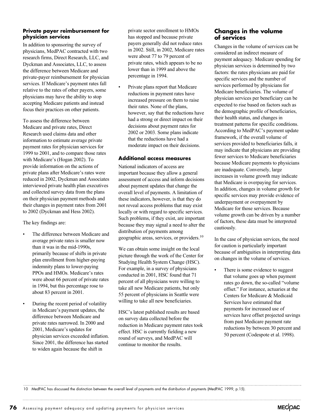#### **Private payer reimbursement for physician services**

In addition to sponsoring the survey of physicians, MedPAC contracted with two research firms, Direct Research, LLC, and Dyckman and Associates, LLC, to assess the difference between Medicare and private-payer reimbursement for physician services. If Medicare's payment rates fall relative to the rates of other payers, some physicians may have the ability to stop accepting Medicare patients and instead focus their practices on other patients.

To assess the difference between Medicare and private rates, Direct Research used claims data and other information to estimate average private payment rates for physician services for 1999 to 2001, and to compare those rates with Medicare's (Hogan 2002). To provide information on the actions of private plans after Medicare's rates were reduced in 2002, Dyckman and Associates interviewed private health plan executives and collected survey data from the plans on their physician payment methods and their changes in payment rates from 2001 to 2002 (Dyckman and Hess 2002).

The key findings are:

- The difference between Medicare and average private rates is smaller now than it was in the mid-1990s, primarily because of shifts in private plan enrollment from higher-paying indemnity plans to lower-paying PPOs and HMOs. Medicare's rates were about 66 percent of private rates in 1994, but this percentage rose to about 83 percent in 2001.
- During the recent period of volatility in Medicare's payment updates, the difference between Medicare and private rates narrowed. In 2000 and 2001, Medicare's updates for physician services exceeded inflation. Since 2001, the difference has started to widen again because the shift in

private sector enrollment to HMOs has stopped and because private payers generally did not reduce rates in 2002. Still, in 2002, Medicare rates were about 77 to 79 percent of private rates, which appears to be no lower than in 1999 and above the percentage in 1994.

Private plans report that Medicare reductions in payment rates have increased pressure on them to raise their rates. None of the plans, however, say that the reductions have had a strong or direct impact on their decisions about payment rates for 2002 or 2003. Some plans indicate that the reductions have had a moderate impact on their decisions.

#### **Additional access measures**

National indicators of access are important because they allow a general assessment of access and inform decisions about payment updates that change the overall level of payments. A limitation of these indicators, however, is that they do not reveal access problems that may exist locally or with regard to specific services. Such problems, if they exist, are important because they may signal a need to alter the distribution of payments among geographic areas, services, or providers.10

We can obtain some insight on the local picture through the work of the Center for Studying Health System Change (HSC). For example, in a survey of physicians conducted in 2001, HSC found that 71 percent of all physicians were willing to take all new Medicare patients, but only 55 percent of physicians in Seattle were willing to take all new beneficiaries.

HSC's latest published results are based on survey data collected before the reduction in Medicare payment rates took effect. HSC is currently fielding a new round of surveys, and MedPAC will continue to monitor the results.

#### **Changes in the volume of services**

Changes in the volume of services can be considered an indirect measure of payment adequacy. Medicare spending for physician services is determined by two factors: the rates physicians are paid for specific services and the number of services performed by physicians for Medicare beneficiaries. The volume of physician services per beneficiary can be expected to rise based on factors such as the demographic profile of beneficiaries, their health status, and changes in treatment patterns for specific conditions. According to MedPAC's payment update framework, if the overall volume of services provided to beneficiaries falls, it may indicate that physicians are providing fewer services to Medicare beneficiaries because Medicare payments to physicians are inadequate. Conversely, large increases in volume growth may indicate that Medicare is overpaying for services. In addition, changes in volume growth for specific services may provide evidence of underpayment or overpayment by Medicare for those services. Because volume growth can be driven by a number of factors, these data must be interpreted cautiously.

In the case of physician services, the need for caution is particularly important because of ambiguities in interpreting data on changes in the volume of services.

• There is some evidence to suggest that volume goes up when payment rates go down, the so-called "volume offset." For instance, actuaries at the Centers for Medicare & Medicaid Services have estimated that payments for increased use of services have offset projected savings from past Medicare payment rate reductions by between 30 percent and 50 percent (Codespote et al. 1998).

10 MedPAC has discussed the distinction between the overall level of payments and the distribution of payments (MedPAC 1999, p.15).

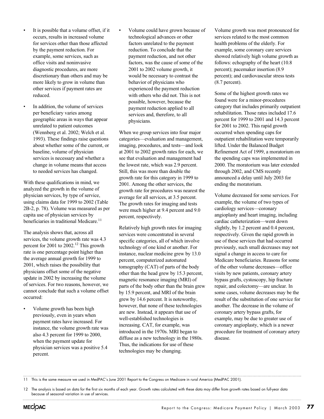- It is possible that a volume offset, if it occurs, results in increased volume for services other than those affected by the payment reduction. For example, some services, such as office visits and noninvasive diagnostic procedures, are more discretionary than others and may be more likely to grow in volume than other services if payment rates are reduced.
- In addition, the volume of services per beneficiary varies among geographic areas in ways that appear unrelated to patient outcomes (Wennberg et al. 2002; Welch et al. 1993). These findings raise questions about whether some of the current, or baseline, volume of physician services is necessary and whether a change in volume means that access to needed services has changed.

With these qualifications in mind, we analyzed the growth in the volume of physician services, by type of service, using claims data for 1999 to 2002 (Table 2B-2, p. 78). Volume was measured as per capita use of physician services by beneficiaries in traditional Medicare.<sup>11</sup>

The analysis shows that, across all services, the volume growth rate was 4.3 percent for 2001 to 2002.<sup>12</sup> This growth rate is one percentage point higher than the average annual growth for 1999 to 2001, which raises the possibility that physicians offset some of the negative update in 2002 by increasing the volume of services. For two reasons, however, we cannot conclude that such a volume offset occurred:

• Volume growth has been high previously, even in years when payment rates have increased. For instance, the volume growth rate was also 4.3 percent for 1999 to 2000, when the payment update for physician services was a positive 5.4 percent.

• Volume could have grown because of technological advances or other factors unrelated to the payment reduction. To conclude that the payment reduction, and not other factors, was the cause of some of the 2001 to 2002 volume growth, it would be necessary to contrast the behavior of physicians who experienced the payment reduction with others who did not. This is not possible, however, because the payment reduction applied to all services and, therefore, to all physicians.

When we group services into four major categories—evaluation and management, imaging, procedures, and tests—and look at 2001 to 2002 growth rates for each, we see that evaluation and management had the lowest rate, which was 2.9 percent. Still, this was more than double the growth rate for this category in 1999 to 2001. Among the other services, the growth rate for procedures was nearest the average for all services, at 3.5 percent. The growth rates for imaging and tests were much higher at 9.4 percent and 9.0 percent, respectively.

Relatively high growth rates for imaging services were concentrated in several specific categories, all of which involve technology of one kind or another. For instance, nuclear medicine grew by 13.0 percent, computerized automated tomography (CAT) of parts of the body other than the head grew by 15.3 percent, magnetic resonance imaging (MRI) of parts of the body other than the brain grew by 15.9 percent, and MRI of the brain grew by 14.6 percent. It is noteworthy, however, that none of these technologies are new. Instead, it appears that use of well-established technologies is increasing. CAT, for example, was introduced in the 1970s. MRI began to diffuse as a new technology in the 1980s. Thus, the indications for use of these technologies may be changing.

Volume growth was most pronounced for services related to the most common health problems of the elderly. For example, some coronary care services showed relatively high volume growth as follows: echography of the heart (10.8 percent); pacemaker insertion (8.9 percent); and cardiovascular stress tests (8.7 percent).

Some of the highest growth rates we found were for a minor-procedures category that includes primarily outpatient rehabilitation. Those rates included 17.6 percent for 1999 to 2001 and 14.3 percent for 2001 to 2002. This rapid growth occurred when spending caps for outpatient rehabilitation were temporarily lifted. Under the Balanced Budget Refinement Act of 1999, a moratorium on the spending caps was implemented in 2000. The moratorium was later extended through 2002, and CMS recently announced a delay until July 2003 for ending the moratorium.

Volume decreased for some services. For example, the volume of two types of cardiology services—coronary angioplasty and heart imaging, including cardiac catheterization—went down slightly, by 1.2 percent and 0.4 percent, respectively. Given the rapid growth in use of these services that had occurred previously, such small decreases may not signal a change in access to care for Medicare beneficiaries. Reasons for some of the other volume decreases—office visits by new patients, coronary artery bypass grafts, cystoscopy, hip fracture repair, and colectomy—are unclear. In some cases, volume decreases may be the result of the substitution of one service for another. The decrease in the volume of coronary artery bypass grafts, for example, may be due to greater use of coronary angioplasty, which is a newer procedure for treatment of coronary artery disease.

11 This is the same measure we used in MedPAC's June 2001 Report to the Congress on Medicare in rural America (MedPAC 2001).

<sup>12</sup> The analysis is based on data for the first six months of each year. Growth rates calculated with these data may differ from growth rates based on full-year data because of seasonal variation in use of services.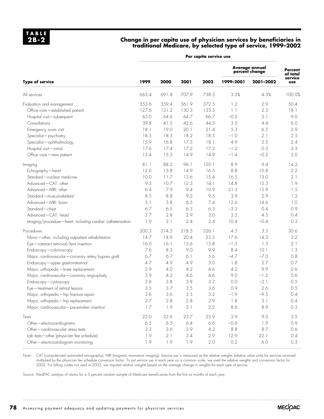#### **Change in per capita use of physician services by beneficiaries in traditional Medicare, by selected type of service, 1999–2002**

|                                                            | Per capita service use |       |       |       |                                  |           |                            |
|------------------------------------------------------------|------------------------|-------|-------|-------|----------------------------------|-----------|----------------------------|
|                                                            | 1999                   | 2000  | 2001  | 2002  | Average annual<br>percent change |           | <b>Percent</b><br>of total |
| <b>Type of service</b>                                     |                        |       |       |       | 1999-2001                        | 2001-2002 | service<br><b>use</b>      |
| All services                                               | 663.4                  | 691.8 | 707.9 | 738.5 | 3.3%                             | 4.3%      | 100.0%                     |
| Evaluation and management                                  | 353.6                  | 359.4 | 361.9 | 372.5 | 1.2                              | 2.9       | 50.4                       |
| Office visits-established patient                          | 127.6                  | 131.2 | 130.3 | 133.3 | 1.1                              | 2.3       | 18.1                       |
| Hospital visit-subsequent                                  | 65.0                   | 64.6  | 64.7  | 66.7  | $-0.2$                           | 3.1       | 9.0                        |
| Consultations                                              | 39.8                   | 41.5  | 42.6  | 44.5  | 3.5                              | 4.4       | 6.0                        |
| Emergency room visit                                       | 18.1                   | 19.0  | 20.1  | 21.4  | 5.3                              | 6.5       | 2.9                        |
| Specialist-psychiatry                                      | 18.5                   | 18.3  | 18.2  | 18.5  | $-1.0$                           | 2.1       | 2.5                        |
| Specialist-ophthalmology                                   | 15.9                   | 16.8  | 17.5  | 18.1  | 4.9                              | 3.5       | 2.4                        |
| Hospital visit-initial                                     | 17.6                   | 17.4  | 17.2  | 17.2  | $-1.2$                           | 0.3       | 2.3                        |
| Office visits-new patient                                  | 15.4                   | 15.5  | 14.9  | 14.9  | $-1.4$                           | $-0.2$    | 2.0                        |
| Imaging                                                    | 81.1                   | 88.2  | 96.1  | 105.1 | 8.9                              | 9.4       | 14.2                       |
| Echography-heart                                           | 12.6                   | 13.8  | 14.9  | 16.5  | 8.8                              | 10.8      | 2.2                        |
| Standard-nuclear medicine                                  | 10.0                   | 11.7  | 13.6  | 15.4  | 16.5                             | 13.0      | 2.1                        |
| Advanced-CAT: other                                        | 9.3                    | 10.7  | 12.3  | 14.1  | 14.8                             | 15.3      | 1.9                        |
| Advanced-MRI: other                                        | 6.4                    | 7.9   | 9.4   | 10.9  | 21.3                             | 15.9      | 1.5                        |
| Standard-musculoskeletal                                   | 8.5                    | 8.8   | 9.2   | 9.5   | 3.9                              | 2.9       | 1.3                        |
| Advanced-MRI: brain                                        | 5.1                    | 5.8   | 6.5   | 7.4   | 12.6                             | 14.6      | 1.0                        |
| Standard-chest                                             | 6.7                    | 6.5   | 6.3   | 6.3   | $-3.3$                           | 0.4       | 0.9                        |
| Advanced-CAT: head                                         | 2.7                    | 2.8   | 2.9   | 3.0   | 3.2                              | 4.5       | 0.4                        |
| Imaging/procedure-heart, including cardiac catheterization | 1.9                    | 2.1   | 2.4   | 2.4   | 10.4                             | $-0.4$    | 0.3                        |
| Procedures                                                 | 200.3                  | 214.5 | 218.5 | 226.1 | 4.5                              | 3.5       | 30.6                       |
| Minor-other, including outpatient rehabilitation           | 14.7                   | 18.9  | 20.4  | 23.3  | 17.6                             | 14.3      | 3.2                        |
| Eye-cataract removal/lens insertion                        | 16.0                   | 16.1  | 15.6  | 15.8  | $-1.3$                           | 1.3       | 2.1                        |
| Endoscopy-colonoscopy                                      | 7.6                    | 8.3   | 9.0   | 9.9   | 8.4                              | 10.1      | 1.3                        |
| Major, cardiovascular-coronary artery bypass graft         | 6.7                    | 6.7   | 6.1   | 5.6   | $-4.7$                           | $-7.0$    | 0.8                        |
| Endoscopy-upper gastrointestinal                           | 4.7                    | 4.9   | 4.9   | 5.0   | 1.8                              | 2.7       | 0.7                        |
| Major, orthopedic-knee replacement                         | 3.9                    | 4.0   | 4.2   | 4.6   | 4.2                              | 9.9       | 0.6                        |
| Major, cardiovascular-coronary angioplasty                 | 3.9                    | 4.2   | 4.6   | 4.6   | 9.0                              | $-1.2$    | 0.6                        |
| Endoscopy-cystoscopy                                       | 3.8                    | 3.8   | 3.8   | 3.7   | 0.0                              | $-3.1$    | 0.5                        |
| Eye-treatment of retinal lesions                           | 3.5                    | 3.7   | 3.5   | 3.6   | 0.9                              | 2.6       | 0.5                        |
| Major, orthopedic-hip fracture repair                      | 3.6                    | 3.6   | 3.5   | 3.2   | $-1.9$                           | $-9.5$    | 0.4                        |
| Major, orthopedic-hip replacement                          | 2.7                    | 2.8   | 2.8   | 2.9   | 1.8                              | 3.1       | 0.4                        |
| Major, cardiovascular-pacemaker insertion                  | 1.7                    | 1.9   | 2.1   | 2.2   | 8.6                              | 8.9       | 0.3                        |
| Tests                                                      | 22.0                   | 22.6  | 23.7  | 25.9  | 3.9                              | 9.0       | 3.5                        |
| Other-electrocardiograms                                   | 6.5                    | 6.5   | 6.4   | 6.6   | $-0.6$                           | 1.9       | 0.9                        |
| Other-cardiovascular stress tests                          | 3.3                    | 3.6   | 3.9   | 4.2   | 8.8                              | 8.7       | 0.6                        |
| Lab tests-other (physician fee schedule)                   | 1.9                    | 2.1   | 2.4   | 2.9   | 12.9                             | 22.1      | 0.4                        |
| Other-electrocardiogram monitoring                         | 1.9                    | 1.9   | 1.9   | 2.0   | 0.2                              | $6.0$     | 0.3                        |

Note: CAT (computerized automated tomography), MRI (magnetic resonance imaging). Service use is measured as the relative weights (relative value units) for services received multiplied by the physician fee schedule conversion factor. To put service use in each year on a common scale, we used the relative weights and conversion factor for 2002. For billing codes not used in 2002, we imputed relative weights based on the average change in weights for each type of service.

Source: MedPAC analysis of claims for a 5 percent random sample of Medicare beneficiaries from the first six months of each year.

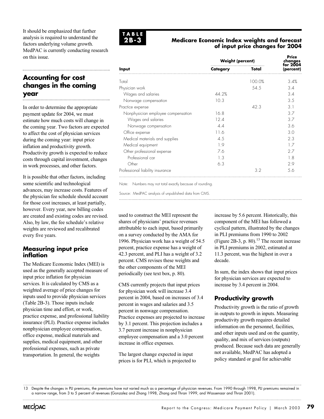It should be emphasized that further analysis is required to understand the factors underlying volume growth. MedPAC is currently conducting research on this issue.

#### **Accounting for cost changes in the coming year**

In order to determine the appropriate payment update for 2004, we must estimate how much costs will change in the coming year. Two factors are expected to affect the cost of physician services during the coming year: input price inflation and productivity growth. Productivity growth is expected to reduce costs through capital investment, changes in work processes, and other factors.

It is possible that other factors, including some scientific and technological advances, may increase costs. Features of the physician fee schedule should account for those cost increases, at least partially, however. Every year, new billing codes are created and existing codes are revised. Also, by law, the fee schedule's relative weights are reviewed and recalibrated every five years.

#### **Measuring input price inflation**

The Medicare Economic Index (MEI) is used as the generally accepted measure of input price inflation for physician services. It is calculated by CMS as a weighted average of price changes for inputs used to provide physician services (Table 2B-3). Those inputs include physician time and effort, or work, practice expense, and professional liability insurance (PLI). Practice expense includes nonphysician employee compensation, office expense, medical materials and supplies, medical equipment, and other professional expenses, such as private transportation. In general, the weights



#### **Medicare Economic Index weights and forecast of input price changes for 2004**

|                                    | <b>Weight (percent)</b> | Price<br>changes<br>for 2004 |           |  |
|------------------------------------|-------------------------|------------------------------|-----------|--|
| Input                              | Category                | Total                        | (percent) |  |
| Total                              |                         | 100.0%                       | 3.4%      |  |
| Physician work                     |                         | 54.5                         | 3.4       |  |
| Wages and salaries                 | 44.2%                   |                              | 3.4       |  |
| Nonwage compensation               | 10.3                    |                              | 3.5       |  |
| Practice expense                   |                         | 42.3                         | 3.1       |  |
| Nonphysician employee compensation | 16.8                    |                              | 3.7       |  |
| Wages and salaries                 | 12.4                    |                              | 3.7       |  |
| Nonwage compensation               | 4.4                     |                              | 3.6       |  |
| Office expense                     | 116                     |                              | 3.0       |  |
| Medical materials and supplies     | 4.5                     |                              | 2.3       |  |
| Medical equipment                  | 1.9                     |                              | 17        |  |
| Other professional expense         | 7.6                     |                              | 27        |  |
| Professional car                   | 1.3                     |                              | 18        |  |
| Other                              | 6.3                     |                              | 2.9       |  |
| Professional liability insurance   |                         | 3.2                          | 5.6       |  |

Note: Numbers may not total exactly because of rounding.

Source: MedPAC analysis of unpublished data from CMS.

used to construct the MEI represent the shares of physicians' practice revenues attributable to each input, based primarily on a survey conducted by the AMA for 1996. Physician work has a weight of 54.5 percent, practice expense has a weight of 42.3 percent, and PLI has a weight of 3.2 percent. CMS revises these weights and the other components of the MEI periodically (see text box, p. 80).

CMS currently projects that input prices for physician work will increase 3.4 percent in 2004, based on increases of 3.4 percent in wages and salaries and 3.5 percent in nonwage compensation. Practice expenses are projected to increase by 3.1 percent. This projection includes a 3.7 percent increase in nonphysician employee compensation and a 3.0 percent increase in office expenses.

The largest change expected in input prices is for PLI, which is projected to increase by 5.6 percent. Historically, this component of the MEI has followed a cyclical pattern, illustrated by the changes in PLI premiums from 1990 to 2002 (Figure 2B-3, p. 80). $^{13}$  The recent increase in PLI premiums in 2002, estimated at 11.3 percent, was the highest in over a decade.

In sum, the index shows that input prices for physician services are expected to increase by 3.4 percent in 2004.

#### **Productivity growth**

Productivity growth is the ratio of growth in outputs to growth in inputs. Measuring productivity growth requires detailed information on the personnel, facilities, and other inputs used and on the quantity, quality, and mix of services (outputs) produced. Because such data are generally not available, MedPAC has adopted a policy standard or goal for achievable

<sup>13</sup> Despite the changes in PLI premiums, the premiums have not varied much as a percentage of physician revenues. From 1990 through 1998, PLI premiums remained in a narrow range, from 3 to 5 percent of revenues (Gonzalez and Zhang 1998, Zhang and Thran 1999, and Wassenaar and Thran 2001).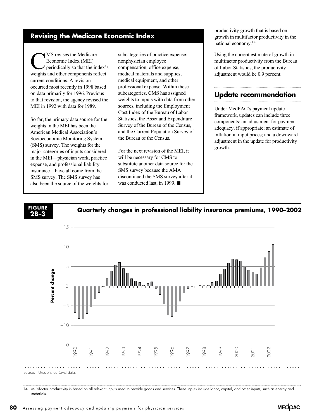#### **Revising the Medicare Economic Index**

MS revises the Medicare<br>Economic Index (MEI)<br>periodically so that the investors Economic Index (MEI) periodically so that the index's weights and other components reflect current conditions. A revision occurred most recently in 1998 based on data primarily for 1996. Previous to that revision, the agency revised the MEI in 1992 with data for 1989.

So far, the primary data source for the weights in the MEI has been the American Medical Association's Socioeconomic Monitoring System (SMS) survey. The weights for the major categories of inputs considered in the MEI—physician work, practice expense, and professional liability insurance—have all come from the SMS survey. The SMS survey has also been the source of the weights for subcategories of practice expense: nonphysician employee compensation, office expense, medical materials and supplies, medical equipment, and other professional expense. Within these subcategories, CMS has assigned weights to inputs with data from other sources, including the Employment Cost Index of the Bureau of Labor Statistics, the Asset and Expenditure Survey of the Bureau of the Census, and the Current Population Survey of the Bureau of the Census.

For the next revision of the MEI, it will be necessary for CMS to substitute another data source for the SMS survey because the AMA discontinued the SMS survey after it was conducted last, in 1999.  $\blacksquare$ 

productivity growth that is based on growth in multifactor productivity in the national economy.14

Using the current estimate of growth in multifactor productivity from the Bureau of Labor Statistics, the productivity adjustment would be 0.9 percent.

#### **Update recommendation**

Under MedPAC's payment update framework, updates can include three components: an adjustment for payment adequacy, if appropriate; an estimate of inflation in input prices; and a downward adjustment in the update for productivity growth.

### **2B-3**

**Quarterly changes in professional liability insurance premiums, 1990–2002 FIGURE**



14 Multifactor productivity is based on all relevant inputs used to provide goods and services. These inputs include labor, capital, and other inputs, such as energy and materials.

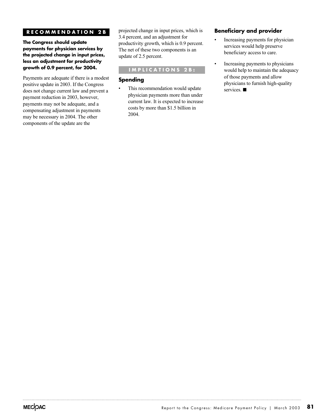#### **RECOMMENDATION 2B**

**The Congress should update payments for physician services by the projected change in input prices, less an adjustment for productivity growth of 0.9 percent, for 2004.**

Payments are adequate if there is a modest positive update in 2003. If the Congress does not change current law and prevent a payment reduction in 2003, however, payments may not be adequate, and a compensating adjustment in payments may be necessary in 2004. The other components of the update are the

projected change in input prices, which is 3.4 percent, and an adjustment for productivity growth, which is 0.9 percent. The net of these two components is an update of 2.5 percent.

#### **IMPLICATIONS 2B:**

#### **Spending**

This recommendation would update physician payments more than under current law. It is expected to increase costs by more than \$1.5 billion in 2004.

#### **Beneficiary and provider**

- Increasing payments for physician services would help preserve beneficiary access to care.
- Increasing payments to physicians would help to maintain the adequacy of those payments and allow physicians to furnish high-quality services.